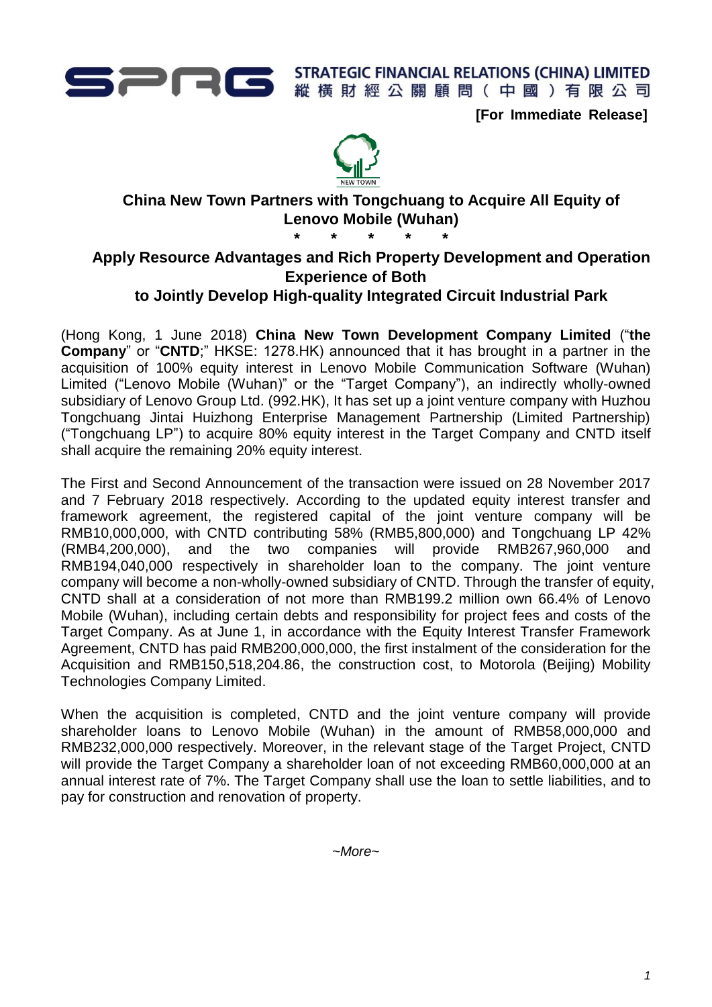

**[For Immediate Release]**



# **China New Town Partners with Tongchuang to Acquire All Equity of Lenovo Mobile (Wuhan)**

**\* \* \* \* \***

# **Apply Resource Advantages and Rich Property Development and Operation Experience of Both**

## **to Jointly Develop High-quality Integrated Circuit Industrial Park**

(Hong Kong, 1 June 2018) **China New Town Development Company Limited** ("**the Company**" or "**CNTD**;" HKSE: 1278.HK) announced that it has brought in a partner in the acquisition of 100% equity interest in Lenovo Mobile Communication Software (Wuhan) Limited ("Lenovo Mobile (Wuhan)" or the "Target Company"), an indirectly wholly-owned subsidiary of Lenovo Group Ltd. (992.HK), It has set up a joint venture company with Huzhou Tongchuang Jintai Huizhong Enterprise Management Partnership (Limited Partnership) ("Tongchuang LP") to acquire 80% equity interest in the Target Company and CNTD itself shall acquire the remaining 20% equity interest.

The First and Second Announcement of the transaction were issued on 28 November 2017 and 7 February 2018 respectively. According to the updated equity interest transfer and framework agreement, the registered capital of the joint venture company will be RMB10,000,000, with CNTD contributing 58% (RMB5,800,000) and Tongchuang LP 42% (RMB4,200,000), and the two companies will provide RMB267,960,000 and RMB194,040,000 respectively in shareholder loan to the company. The joint venture company will become a non-wholly-owned subsidiary of CNTD. Through the transfer of equity, CNTD shall at a consideration of not more than RMB199.2 million own 66.4% of Lenovo Mobile (Wuhan), including certain debts and responsibility for project fees and costs of the Target Company. As at June 1, in accordance with the Equity Interest Transfer Framework Agreement, CNTD has paid RMB200,000,000, the first instalment of the consideration for the Acquisition and RMB150,518,204.86, the construction cost, to Motorola (Beijing) Mobility Technologies Company Limited.

When the acquisition is completed. CNTD and the joint venture company will provide shareholder loans to Lenovo Mobile (Wuhan) in the amount of RMB58,000,000 and RMB232,000,000 respectively. Moreover, in the relevant stage of the Target Project, CNTD will provide the Target Company a shareholder loan of not exceeding RMB60,000,000 at an annual interest rate of 7%. The Target Company shall use the loan to settle liabilities, and to pay for construction and renovation of property.

*~More~*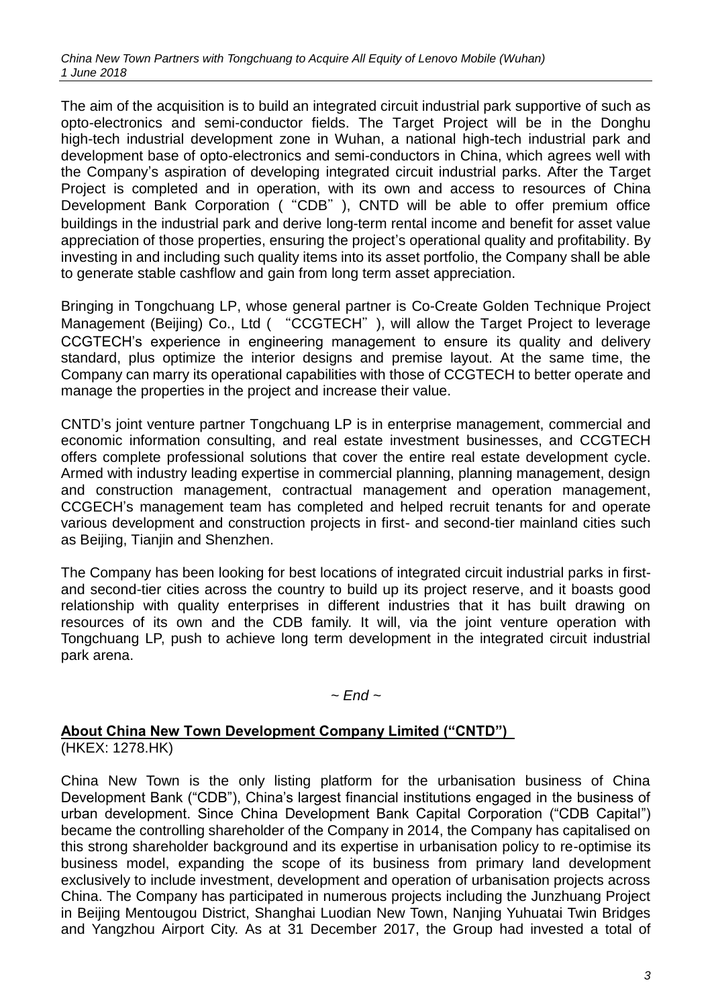The aim of the acquisition is to build an integrated circuit industrial park supportive of such as opto-electronics and semi-conductor fields. The Target Project will be in the Donghu high-tech industrial development zone in Wuhan, a national high-tech industrial park and development base of opto-electronics and semi-conductors in China, which agrees well with the Company's aspiration of developing integrated circuit industrial parks. After the Target Project is completed and in operation, with its own and access to resources of China Development Bank Corporation ("CDB"), CNTD will be able to offer premium office buildings in the industrial park and derive long-term rental income and benefit for asset value appreciation of those properties, ensuring the project's operational quality and profitability. By investing in and including such quality items into its asset portfolio, the Company shall be able to generate stable cashflow and gain from long term asset appreciation.

Bringing in Tongchuang LP, whose general partner is Co-Create Golden Technique Project Management (Beijing) Co., Ltd ( "CCGTECH"), will allow the Target Project to leverage CCGTECH's experience in engineering management to ensure its quality and delivery standard, plus optimize the interior designs and premise layout. At the same time, the Company can marry its operational capabilities with those of CCGTECH to better operate and manage the properties in the project and increase their value.

CNTD's joint venture partner Tongchuang LP is in enterprise management, commercial and economic information consulting, and real estate investment businesses, and CCGTECH offers complete professional solutions that cover the entire real estate development cycle. Armed with industry leading expertise in commercial planning, planning management, design and construction management, contractual management and operation management, CCGECH's management team has completed and helped recruit tenants for and operate various development and construction projects in first- and second-tier mainland cities such as Beijing, Tianjin and Shenzhen.

The Company has been looking for best locations of integrated circuit industrial parks in firstand second-tier cities across the country to build up its project reserve, and it boasts good relationship with quality enterprises in different industries that it has built drawing on resources of its own and the CDB family. It will, via the joint venture operation with Tongchuang LP, push to achieve long term development in the integrated circuit industrial park arena.

#### *~ End ~*

## **About China New Town Development Company Limited ("CNTD")**

(HKEX: 1278.HK)

China New Town is the only listing platform for the urbanisation business of China Development Bank ("CDB"), China's largest financial institutions engaged in the business of urban development. Since China Development Bank Capital Corporation ("CDB Capital") became the controlling shareholder of the Company in 2014, the Company has capitalised on this strong shareholder background and its expertise in urbanisation policy to re-optimise its business model, expanding the scope of its business from primary land development exclusively to include investment, development and operation of urbanisation projects across China. The Company has participated in numerous projects including the Junzhuang Project in Beijing Mentougou District, Shanghai Luodian New Town, Nanjing Yuhuatai Twin Bridges and Yangzhou Airport City. As at 31 December 2017, the Group had invested a total of